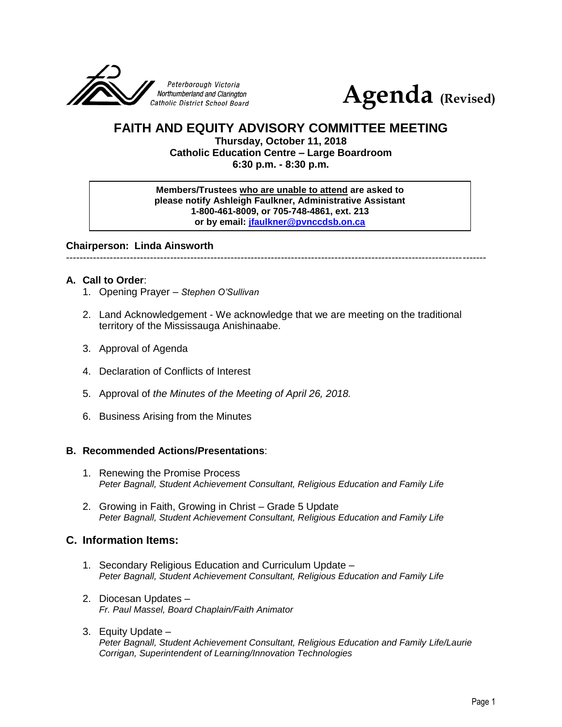



# **FAITH AND EQUITY ADVISORY COMMITTEE MEETING**

**Thursday, October 11, 2018 Catholic Education Centre – Large Boardroom 6:30 p.m. - 8:30 p.m.**

**Members/Trustees who are unable to attend are asked to please notify Ashleigh Faulkner, Administrative Assistant 1-800-461-8009, or 705-748-4861, ext. 213 or by email: [jfaulkner@pvnccdsb.on.ca](mailto:jfaulkner@pvnccdsb.on.ca)**

**Chairperson: Linda Ainsworth**

-----------------------------------------------------------------------------------------------------------------------------

### **A. Call to Order**:

- 1. Opening Prayer *Stephen O'Sullivan*
- 2. Land Acknowledgement We acknowledge that we are meeting on the traditional territory of the Mississauga Anishinaabe.
- 3. Approval of Agenda
- 4. Declaration of Conflicts of Interest
- 5. Approval of *the Minutes of the Meeting of April 26, 2018.*
- 6. Business Arising from the Minutes

#### **B. Recommended Actions/Presentations**:

- 1. Renewing the Promise Process *Peter Bagnall, Student Achievement Consultant, Religious Education and Family Life*
- 2. Growing in Faith, Growing in Christ Grade 5 Update *Peter Bagnall, Student Achievement Consultant, Religious Education and Family Life*

## **C. Information Items:**

- 1. Secondary Religious Education and Curriculum Update *Peter Bagnall, Student Achievement Consultant, Religious Education and Family Life*
- 2. Diocesan Updates *Fr. Paul Massel, Board Chaplain/Faith Animator*
- 3. Equity Update *Peter Bagnall, Student Achievement Consultant, Religious Education and Family Life/Laurie Corrigan, Superintendent of Learning/Innovation Technologies*